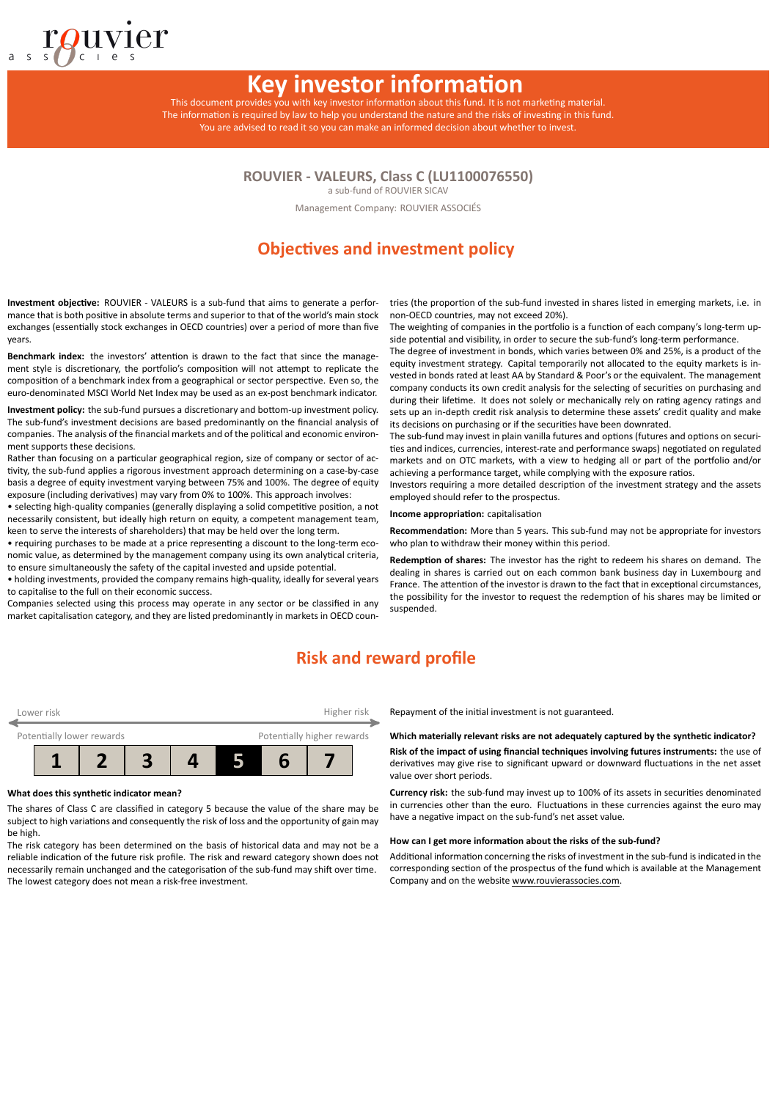# **Key investor information**

This document provides you with key investor information about this fund. It is not marketing material. The information is required by law to help you understand the nature and the risks of investing in this fund. You are advised to read it so you can make an informed decision about whether to invest.

**ROUVIER - VALEURS, Class C (LU1100076550)**

a sub-fund of ROUVIER SICAV

Management Company: ROUVIER ASSOCIÉS

# **Objectives and investment policy**

**Investment objective:** ROUVIER - VALEURS is a sub-fund that aims to generate a performance that is both positive in absolute terms and superior to that of the world's main stock exchanges (essentially stock exchanges in OECD countries) over a period of more than five years.

Benchmark index: the investors' attention is drawn to the fact that since the management style is discretionary, the portfolio's composition will not attempt to replicate the composition of a benchmark index from a geographical or sector perspective. Even so, the euro-denominated MSCI World Net Index may be used as an ex-post benchmark indicator.

**Investment policy:** the sub-fund pursues a discretionary and bottom-up investment policy. The sub-fund's investment decisions are based predominantly on the financial analysis of companies. The analysis of the financial markets and of the political and economic environment supports these decisions.

Rather than focusing on a particular geographical region, size of company or sector of activity, the sub-fund applies a rigorous investment approach determining on a case-by-case basis a degree of equity investment varying between 75% and 100%. The degree of equity exposure (including derivatives) may vary from 0% to 100%. This approach involves:

• selecting high-quality companies (generally displaying a solid competitive position, a not necessarily consistent, but ideally high return on equity, a competent management team, keen to serve the interests of shareholders) that may be held over the long term.

• requiring purchases to be made at a price representing a discount to the long-term economic value, as determined by the management company using its own analytical criteria, to ensure simultaneously the safety of the capital invested and upside potential.

• holding investments, provided the company remains high-quality, ideally for several years to capitalise to the full on their economic success.

Companies selected using this process may operate in any sector or be classified in any market capitalisation category, and they are listed predominantly in markets in OECD coun-

tries (the proportion of the sub-fund invested in shares listed in emerging markets, i.e. in non-OECD countries, may not exceed 20%).

The weighting of companies in the portfolio is a function of each company's long-term upside potential and visibility, in order to secure the sub-fund's long-term performance.

The degree of investment in bonds, which varies between 0% and 25%, is a product of the equity investment strategy. Capital temporarily not allocated to the equity markets is invested in bonds rated at least AA by Standard & Poor's or the equivalent. The management company conducts its own credit analysis for the selecting of securities on purchasing and during their lifetime. It does not solely or mechanically rely on rating agency ratings and sets up an in-depth credit risk analysis to determine these assets' credit quality and make its decisions on purchasing or if the securities have been downrated.

The sub-fund may invest in plain vanilla futures and options (futures and options on securities and indices, currencies, interest-rate and performance swaps) negotiated on regulated markets and on OTC markets, with a view to hedging all or part of the portfolio and/or achieving a performance target, while complying with the exposure ratios.

Investors requiring a more detailed description of the investment strategy and the assets employed should refer to the prospectus.

**Income appropriation:** capitalisation

**Recommendation:** More than 5 years. This sub-fund may not be appropriate for investors who plan to withdraw their money within this period.

**RedempƟon of shares:** The investor has the right to redeem his shares on demand. The dealing in shares is carried out on each common bank business day in Luxembourg and France. The attention of the investor is drawn to the fact that in exceptional circumstances, the possibility for the investor to request the redemption of his shares may be limited or suspended.

### **Risk and reward profile**

| Lower risk                |  |  | Higher risk                |  |
|---------------------------|--|--|----------------------------|--|
| Potentially lower rewards |  |  | Potentially higher rewards |  |
|                           |  |  |                            |  |

### **What does this syntheƟc indicator mean?**

The shares of Class C are classified in category 5 because the value of the share may be subject to high variations and consequently the risk of loss and the opportunity of gain may be high.

The risk category has been determined on the basis of historical data and may not be a reliable indication of the future risk profile. The risk and reward category shown does not necessarily remain unchanged and the categorisation of the sub-fund may shift over time. The lowest category does not mean a risk-free investment.

Repayment of the initial investment is not guaranteed.

### Which materially relevant risks are not adequately captured by the synthetic indicator?

**Risk of the impact of using financial techniques involving futures instruments:** the use of derivatives may give rise to significant upward or downward fluctuations in the net asset value over short periods.

Currency risk: the sub-fund may invest up to 100% of its assets in securities denominated in currencies other than the euro. Fluctuations in these currencies against the euro may have a negative impact on the sub-fund's net asset value.

#### How can I get more information about the risks of the sub-fund?

Additional information concerning the risks of investment in the sub-fund is indicated in the corresponding section of the prospectus of the fund which is available at the Management Company and on the website www.rouvierassocies.com.